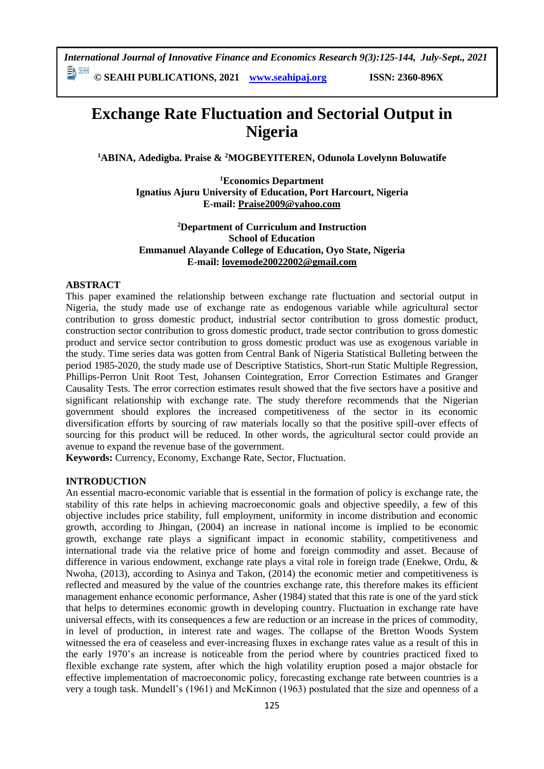*International Journal of Innovative Finance and Economics Research 9(3):125-144, July-Sept., 2021* 動腳

**© SEAHI PUBLICATIONS, 2021 [www.seahipaj.org](http://www.seahipaj.org/) ISSN: 2360-896X**

# **Exchange Rate Fluctuation and Sectorial Output in Nigeria**

**<sup>1</sup>ABINA, Adedigba. Praise & <sup>2</sup>MOGBEYITEREN, Odunola Lovelynn Boluwatife**

**<sup>1</sup>Economics Department Ignatius Ajuru University of Education, Port Harcourt, Nigeria E-mail: [Praise2009@yahoo.com](mailto:Praise2009@yahoo.com)**

**<sup>2</sup>Department of Curriculum and Instruction School of Education Emmanuel Alayande College of Education, Oyo State, Nigeria E-mail: [lovemode20022002@gmail.com](mailto:lovemode20022002@gmail.com)**

# **ABSTRACT**

This paper examined the relationship between exchange rate fluctuation and sectorial output in Nigeria, the study made use of exchange rate as endogenous variable while agricultural sector contribution to gross domestic product, industrial sector contribution to gross domestic product, construction sector contribution to gross domestic product, trade sector contribution to gross domestic product and service sector contribution to gross domestic product was use as exogenous variable in the study. Time series data was gotten from Central Bank of Nigeria Statistical Bulleting between the period 1985-2020, the study made use of Descriptive Statistics, Short-run Static Multiple Regression, Phillips-Perron Unit Root Test, Johansen Cointegration, Error Correction Estimates and Granger Causality Tests. The error correction estimates result showed that the five sectors have a positive and significant relationship with exchange rate. The study therefore recommends that the Nigerian government should explores the increased competitiveness of the sector in its economic diversification efforts by sourcing of raw materials locally so that the positive spill-over effects of sourcing for this product will be reduced. In other words, the agricultural sector could provide an avenue to expand the revenue base of the government.

**Keywords:** Currency, Economy, Exchange Rate, Sector, Fluctuation.

#### **INTRODUCTION**

An essential macro-economic variable that is essential in the formation of policy is exchange rate, the stability of this rate helps in achieving macroeconomic goals and objective speedily, a few of this objective includes price stability, full employment, uniformity in income distribution and economic growth, according to Jhingan, (2004) an increase in national income is implied to be economic growth, exchange rate plays a significant impact in economic stability, competitiveness and international trade via the relative price of home and foreign commodity and asset. Because of difference in various endowment, exchange rate plays a vital role in foreign trade (Enekwe, Ordu, & Nwoha, (2013), according to Asinya and Takon, (2014) the economic metier and competitiveness is reflected and measured by the value of the countries exchange rate, this therefore makes its efficient management enhance economic performance, Asher (1984) stated that this rate is one of the yard stick that helps to determines economic growth in developing country. Fluctuation in exchange rate have universal effects, with its consequences a few are reduction or an increase in the prices of commodity, in level of production, in interest rate and wages. The collapse of the Bretton Woods System witnessed the era of ceaseless and ever-increasing fluxes in exchange rates value as a result of this in the early 1970's an increase is noticeable from the period where by countries practiced fixed to flexible exchange rate system, after which the high volatility eruption posed a major obstacle for effective implementation of macroeconomic policy, forecasting exchange rate between countries is a very a tough task. Mundell's (1961) and McKinnon (1963) postulated that the size and openness of a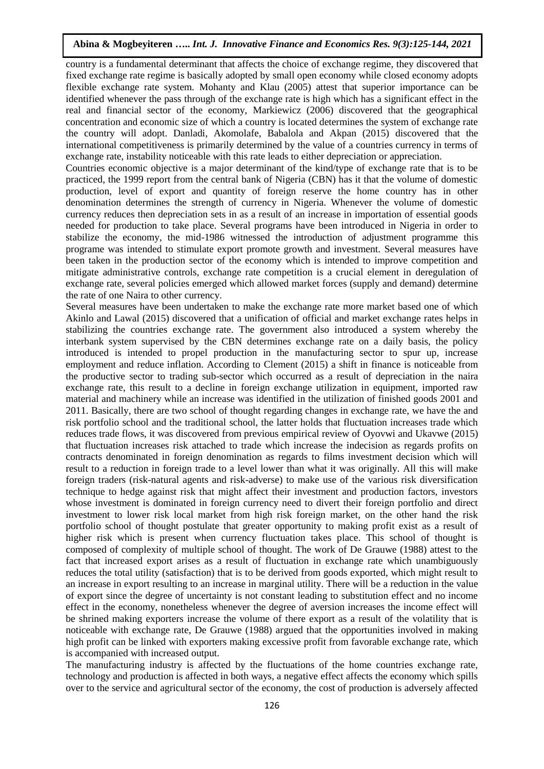country is a fundamental determinant that affects the choice of exchange regime, they discovered that fixed exchange rate regime is basically adopted by small open economy while closed economy adopts flexible exchange rate system. Mohanty and Klau (2005) attest that superior importance can be identified whenever the pass through of the exchange rate is high which has a significant effect in the real and financial sector of the economy, Markiewicz (2006) discovered that the geographical concentration and economic size of which a country is located determines the system of exchange rate the country will adopt. Danladi, Akomolafe, Babalola and Akpan (2015) discovered that the international competitiveness is primarily determined by the value of a countries currency in terms of exchange rate, instability noticeable with this rate leads to either depreciation or appreciation.

Countries economic objective is a major determinant of the kind/type of exchange rate that is to be practiced, the 1999 report from the central bank of Nigeria (CBN) has it that the volume of domestic production, level of export and quantity of foreign reserve the home country has in other denomination determines the strength of currency in Nigeria. Whenever the volume of domestic currency reduces then depreciation sets in as a result of an increase in importation of essential goods needed for production to take place. Several programs have been introduced in Nigeria in order to stabilize the economy, the mid-1986 witnessed the introduction of adjustment programme this programe was intended to stimulate export promote growth and investment. Several measures have been taken in the production sector of the economy which is intended to improve competition and mitigate administrative controls, exchange rate competition is a crucial element in deregulation of exchange rate, several policies emerged which allowed market forces (supply and demand) determine the rate of one Naira to other currency.

Several measures have been undertaken to make the exchange rate more market based one of which Akinlo and Lawal (2015) discovered that a unification of official and market exchange rates helps in stabilizing the countries exchange rate. The government also introduced a system whereby the interbank system supervised by the CBN determines exchange rate on a daily basis, the policy introduced is intended to propel production in the manufacturing sector to spur up, increase employment and reduce inflation. According to Clement (2015) a shift in finance is noticeable from the productive sector to trading sub-sector which occurred as a result of depreciation in the naira exchange rate, this result to a decline in foreign exchange utilization in equipment, imported raw material and machinery while an increase was identified in the utilization of finished goods 2001 and 2011. Basically, there are two school of thought regarding changes in exchange rate, we have the and risk portfolio school and the traditional school, the latter holds that fluctuation increases trade which reduces trade flows, it was discovered from previous empirical review of Oyovwi and Ukavwe (2015) that fluctuation increases risk attached to trade which increase the indecision as regards profits on contracts denominated in foreign denomination as regards to films investment decision which will result to a reduction in foreign trade to a level lower than what it was originally. All this will make foreign traders (risk-natural agents and risk-adverse) to make use of the various risk diversification technique to hedge against risk that might affect their investment and production factors, investors whose investment is dominated in foreign currency need to divert their foreign portfolio and direct investment to lower risk local market from high risk foreign market, on the other hand the risk portfolio school of thought postulate that greater opportunity to making profit exist as a result of higher risk which is present when currency fluctuation takes place. This school of thought is composed of complexity of multiple school of thought. The work of De Grauwe (1988) attest to the fact that increased export arises as a result of fluctuation in exchange rate which unambiguously reduces the total utility (satisfaction) that is to be derived from goods exported, which might result to an increase in export resulting to an increase in marginal utility. There will be a reduction in the value of export since the degree of uncertainty is not constant leading to substitution effect and no income effect in the economy, nonetheless whenever the degree of aversion increases the income effect will be shrined making exporters increase the volume of there export as a result of the volatility that is noticeable with exchange rate, De Grauwe (1988) argued that the opportunities involved in making high profit can be linked with exporters making excessive profit from favorable exchange rate, which is accompanied with increased output.

The manufacturing industry is affected by the fluctuations of the home countries exchange rate, technology and production is affected in both ways, a negative effect affects the economy which spills over to the service and agricultural sector of the economy, the cost of production is adversely affected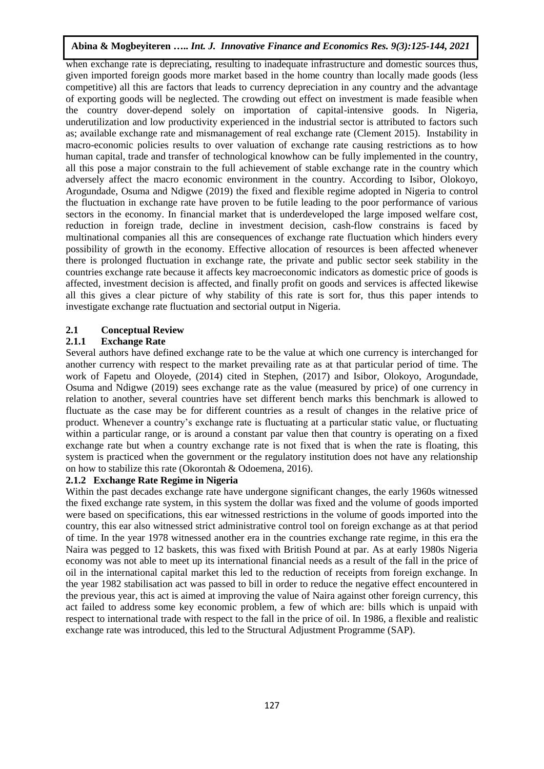when exchange rate is depreciating, resulting to inadequate infrastructure and domestic sources thus, given imported foreign goods more market based in the home country than locally made goods (less competitive) all this are factors that leads to currency depreciation in any country and the advantage of exporting goods will be neglected. The crowding out effect on investment is made feasible when the country dover-depend solely on importation of capital-intensive goods. In Nigeria, underutilization and low productivity experienced in the industrial sector is attributed to factors such as; available exchange rate and mismanagement of real exchange rate (Clement 2015). Instability in macro-economic policies results to over valuation of exchange rate causing restrictions as to how human capital, trade and transfer of technological knowhow can be fully implemented in the country, all this pose a major constrain to the full achievement of stable exchange rate in the country which adversely affect the macro economic environment in the country. According to Isibor, Olokoyo, Arogundade, Osuma and Ndigwe (2019) the fixed and flexible regime adopted in Nigeria to control the fluctuation in exchange rate have proven to be futile leading to the poor performance of various sectors in the economy. In financial market that is underdeveloped the large imposed welfare cost, reduction in foreign trade, decline in investment decision, cash-flow constrains is faced by multinational companies all this are consequences of exchange rate fluctuation which hinders every possibility of growth in the economy. Effective allocation of resources is been affected whenever there is prolonged fluctuation in exchange rate, the private and public sector seek stability in the countries exchange rate because it affects key macroeconomic indicators as domestic price of goods is affected, investment decision is affected, and finally profit on goods and services is affected likewise all this gives a clear picture of why stability of this rate is sort for, thus this paper intends to investigate exchange rate fluctuation and sectorial output in Nigeria.

# **2.1 Conceptual Review**

# **2.1.1 Exchange Rate**

Several authors have defined exchange rate to be the value at which one currency is interchanged for another currency with respect to the market prevailing rate as at that particular period of time. The work of Fapetu and Oloyede, (2014) cited in Stephen, (2017) and Isibor, Olokoyo, Arogundade, Osuma and Ndigwe (2019) sees exchange rate as the value (measured by price) of one currency in relation to another, several countries have set different bench marks this benchmark is allowed to fluctuate as the case may be for different countries as a result of changes in the relative price of product. Whenever a country's exchange rate is fluctuating at a particular static value, or fluctuating within a particular range, or is around a constant par value then that country is operating on a fixed exchange rate but when a country exchange rate is not fixed that is when the rate is floating, this system is practiced when the government or the regulatory institution does not have any relationship on how to stabilize this rate (Okorontah & Odoemena, 2016).

# **2.1.2 Exchange Rate Regime in Nigeria**

Within the past decades exchange rate have undergone significant changes, the early 1960s witnessed the fixed exchange rate system, in this system the dollar was fixed and the volume of goods imported were based on specifications, this ear witnessed restrictions in the volume of goods imported into the country, this ear also witnessed strict administrative control tool on foreign exchange as at that period of time. In the year 1978 witnessed another era in the countries exchange rate regime, in this era the Naira was pegged to 12 baskets, this was fixed with British Pound at par. As at early 1980s Nigeria economy was not able to meet up its international financial needs as a result of the fall in the price of oil in the international capital market this led to the reduction of receipts from foreign exchange. In the year 1982 stabilisation act was passed to bill in order to reduce the negative effect encountered in the previous year, this act is aimed at improving the value of Naira against other foreign currency, this act failed to address some key economic problem, a few of which are: bills which is unpaid with respect to international trade with respect to the fall in the price of oil. In 1986, a flexible and realistic exchange rate was introduced, this led to the Structural Adjustment Programme (SAP).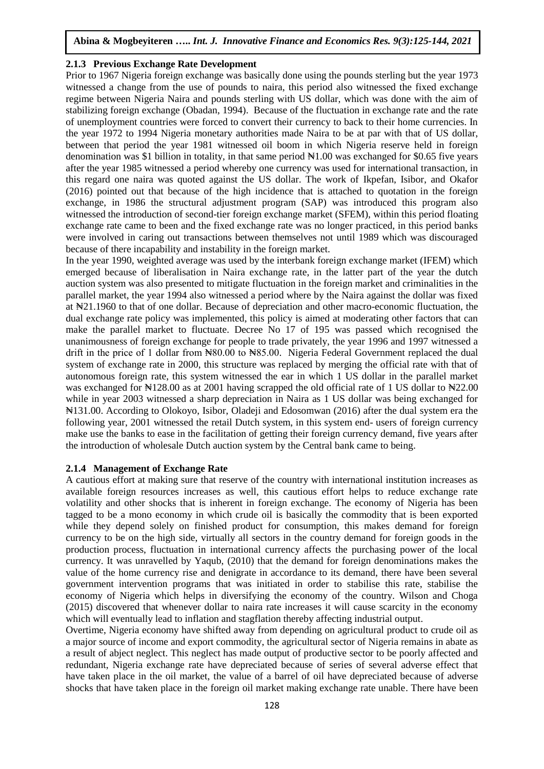### **2.1.3 Previous Exchange Rate Development**

Prior to 1967 Nigeria foreign exchange was basically done using the pounds sterling but the year 1973 witnessed a change from the use of pounds to naira, this period also witnessed the fixed exchange regime between Nigeria Naira and pounds sterling with US dollar, which was done with the aim of stabilizing foreign exchange (Obadan, 1994). Because of the fluctuation in exchange rate and the rate of unemployment countries were forced to convert their currency to back to their home currencies. In the year 1972 to 1994 Nigeria monetary authorities made Naira to be at par with that of US dollar, between that period the year 1981 witnessed oil boom in which Nigeria reserve held in foreign denomination was \$1 billion in totality, in that same period  $\mathbb{H}1.00$  was exchanged for \$0.65 five years after the year 1985 witnessed a period whereby one currency was used for international transaction, in this regard one naira was quoted against the US dollar. The work of Ikpefan, Isibor, and Okafor (2016) pointed out that because of the high incidence that is attached to quotation in the foreign exchange, in 1986 the structural adjustment program (SAP) was introduced this program also witnessed the introduction of second-tier foreign exchange market (SFEM), within this period floating exchange rate came to been and the fixed exchange rate was no longer practiced, in this period banks were involved in caring out transactions between themselves not until 1989 which was discouraged because of there incapability and instability in the foreign market.

In the year 1990, weighted average was used by the interbank foreign exchange market (IFEM) which emerged because of liberalisation in Naira exchange rate, in the latter part of the year the dutch auction system was also presented to mitigate fluctuation in the foreign market and criminalities in the parallel market, the year 1994 also witnessed a period where by the Naira against the dollar was fixed at ₦21.1960 to that of one dollar. Because of depreciation and other macro-economic fluctuation, the dual exchange rate policy was implemented, this policy is aimed at moderating other factors that can make the parallel market to fluctuate. Decree No 17 of 195 was passed which recognised the unanimousness of foreign exchange for people to trade privately, the year 1996 and 1997 witnessed a drift in the price of 1 dollar from New 1000 to New 100. Nigeria Federal Government replaced the dual system of exchange rate in 2000, this structure was replaced by merging the official rate with that of autonomous foreign rate, this system witnessed the ear in which 1 US dollar in the parallel market was exchanged for  $\text{N128.00}$  as at 2001 having scrapped the old official rate of 1 US dollar to  $\text{N22.00}$ while in year 2003 witnessed a sharp depreciation in Naira as 1 US dollar was being exchanged for ₦131.00. According to Olokoyo, Isibor, Oladeji and Edosomwan (2016) after the dual system era the following year, 2001 witnessed the retail Dutch system, in this system end- users of foreign currency make use the banks to ease in the facilitation of getting their foreign currency demand, five years after the introduction of wholesale Dutch auction system by the Central bank came to being.

#### **2.1.4 Management of Exchange Rate**

A cautious effort at making sure that reserve of the country with international institution increases as available foreign resources increases as well, this cautious effort helps to reduce exchange rate volatility and other shocks that is inherent in foreign exchange. The economy of Nigeria has been tagged to be a mono economy in which crude oil is basically the commodity that is been exported while they depend solely on finished product for consumption, this makes demand for foreign currency to be on the high side, virtually all sectors in the country demand for foreign goods in the production process, fluctuation in international currency affects the purchasing power of the local currency. It was unravelled by Yaqub, (2010) that the demand for foreign denominations makes the value of the home currency rise and denigrate in accordance to its demand, there have been several government intervention programs that was initiated in order to stabilise this rate, stabilise the economy of Nigeria which helps in diversifying the economy of the country. Wilson and Choga (2015) discovered that whenever dollar to naira rate increases it will cause scarcity in the economy which will eventually lead to inflation and stagflation thereby affecting industrial output.

Overtime, Nigeria economy have shifted away from depending on agricultural product to crude oil as a major source of income and export commodity, the agricultural sector of Nigeria remains in abate as a result of abject neglect. This neglect has made output of productive sector to be poorly affected and redundant, Nigeria exchange rate have depreciated because of series of several adverse effect that have taken place in the oil market, the value of a barrel of oil have depreciated because of adverse shocks that have taken place in the foreign oil market making exchange rate unable. There have been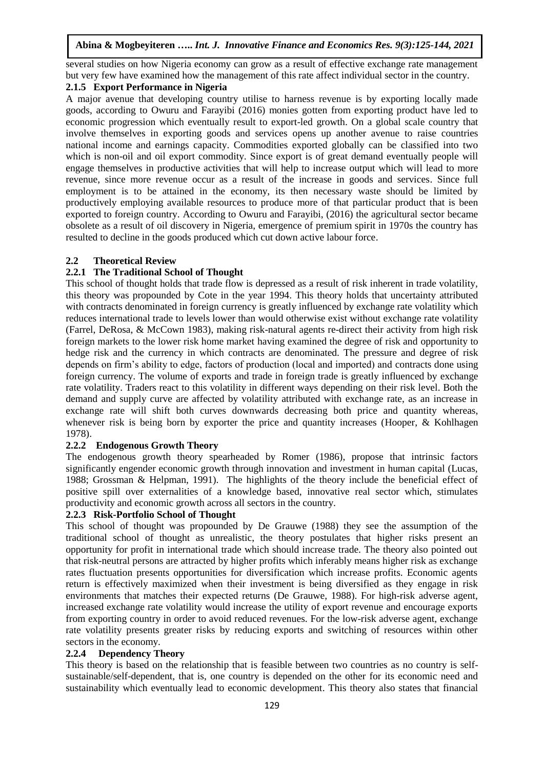several studies on how Nigeria economy can grow as a result of effective exchange rate management but very few have examined how the management of this rate affect individual sector in the country.

# **2.1.5 Export Performance in Nigeria**

A major avenue that developing country utilise to harness revenue is by exporting locally made goods, according to Owuru and Farayibi (2016) monies gotten from exporting product have led to economic progression which eventually result to export-led growth. On a global scale country that involve themselves in exporting goods and services opens up another avenue to raise countries national income and earnings capacity. Commodities exported globally can be classified into two which is non-oil and oil export commodity. Since export is of great demand eventually people will engage themselves in productive activities that will help to increase output which will lead to more revenue, since more revenue occur as a result of the increase in goods and services. Since full employment is to be attained in the economy, its then necessary waste should be limited by productively employing available resources to produce more of that particular product that is been exported to foreign country. According to Owuru and Farayibi, (2016) the agricultural sector became obsolete as a result of oil discovery in Nigeria, emergence of premium spirit in 1970s the country has resulted to decline in the goods produced which cut down active labour force.

# **2.2 Theoretical Review**

# **2.2.1 The Traditional School of Thought**

This school of thought holds that trade flow is depressed as a result of risk inherent in trade volatility, this theory was propounded by Cote in the year 1994. This theory holds that uncertainty attributed with contracts denominated in foreign currency is greatly influenced by exchange rate volatility which reduces international trade to levels lower than would otherwise exist without exchange rate volatility (Farrel, DeRosa, & McCown 1983), making risk-natural agents re-direct their activity from high risk foreign markets to the lower risk home market having examined the degree of risk and opportunity to hedge risk and the currency in which contracts are denominated. The pressure and degree of risk depends on firm's ability to edge, factors of production (local and imported) and contracts done using foreign currency. The volume of exports and trade in foreign trade is greatly influenced by exchange rate volatility. Traders react to this volatility in different ways depending on their risk level. Both the demand and supply curve are affected by volatility attributed with exchange rate, as an increase in exchange rate will shift both curves downwards decreasing both price and quantity whereas, whenever risk is being born by exporter the price and quantity increases (Hooper, & Kohlhagen 1978).

# **2.2.2 Endogenous Growth Theory**

The endogenous growth theory spearheaded by Romer (1986), propose that intrinsic factors significantly engender economic growth through innovation and investment in human capital (Lucas, 1988; Grossman & Helpman, 1991). The highlights of the theory include the beneficial effect of positive spill over externalities of a knowledge based, innovative real sector which, stimulates productivity and economic growth across all sectors in the country.

# **2.2.3 Risk-Portfolio School of Thought**

This school of thought was propounded by De Grauwe (1988) they see the assumption of the traditional school of thought as unrealistic, the theory postulates that higher risks present an opportunity for profit in international trade which should increase trade. The theory also pointed out that risk-neutral persons are attracted by higher profits which inferably means higher risk as exchange rates fluctuation presents opportunities for diversification which increase profits. Economic agents return is effectively maximized when their investment is being diversified as they engage in risk environments that matches their expected returns (De Grauwe, 1988). For high-risk adverse agent, increased exchange rate volatility would increase the utility of export revenue and encourage exports from exporting country in order to avoid reduced revenues. For the low-risk adverse agent, exchange rate volatility presents greater risks by reducing exports and switching of resources within other sectors in the economy.

# **2.2.4 Dependency Theory**

This theory is based on the relationship that is feasible between two countries as no country is selfsustainable/self-dependent, that is, one country is depended on the other for its economic need and sustainability which eventually lead to economic development. This theory also states that financial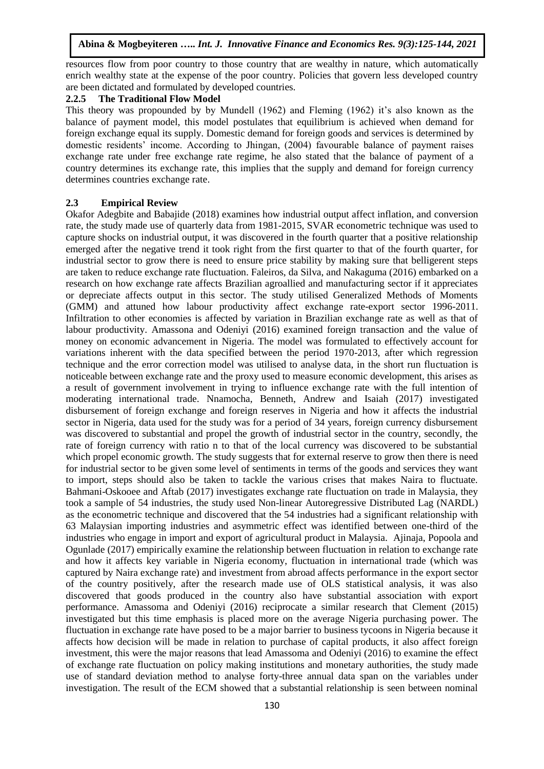resources flow from poor country to those country that are wealthy in nature, which automatically enrich wealthy state at the expense of the poor country. Policies that govern less developed country are been dictated and formulated by developed countries.

# **2.2.5 The Traditional Flow Model**

This theory was propounded by by Mundell (1962) and Fleming (1962) it's also known as the balance of payment model, this model postulates that equilibrium is achieved when demand for foreign exchange equal its supply. Domestic demand for foreign goods and services is determined by domestic residents' income. According to Jhingan, (2004) favourable balance of payment raises exchange rate under free exchange rate regime, he also stated that the balance of payment of a country determines its exchange rate, this implies that the supply and demand for foreign currency determines countries exchange rate.

#### **2.3 Empirical Review**

Okafor Adegbite and Babajide (2018) examines how industrial output affect inflation, and conversion rate, the study made use of quarterly data from 1981-2015, SVAR econometric technique was used to capture shocks on industrial output, it was discovered in the fourth quarter that a positive relationship emerged after the negative trend it took right from the first quarter to that of the fourth quarter, for industrial sector to grow there is need to ensure price stability by making sure that belligerent steps are taken to reduce exchange rate fluctuation. Faleiros, da Silva, and Nakaguma (2016) embarked on a research on how exchange rate affects Brazilian agroallied and manufacturing sector if it appreciates or depreciate affects output in this sector. The study utilised Generalized Methods of Moments (GMM) and attuned how labour productivity affect exchange rate-export sector 1996-2011. Infiltration to other economies is affected by variation in Brazilian exchange rate as well as that of labour productivity. Amassona and Odeniyi (2016) examined foreign transaction and the value of money on economic advancement in Nigeria. The model was formulated to effectively account for variations inherent with the data specified between the period 1970-2013, after which regression technique and the error correction model was utilised to analyse data, in the short run fluctuation is noticeable between exchange rate and the proxy used to measure economic development, this arises as a result of government involvement in trying to influence exchange rate with the full intention of moderating international trade. Nnamocha, Benneth, Andrew and Isaiah (2017) investigated disbursement of foreign exchange and foreign reserves in Nigeria and how it affects the industrial sector in Nigeria, data used for the study was for a period of 34 years, foreign currency disbursement was discovered to substantial and propel the growth of industrial sector in the country, secondly, the rate of foreign currency with ratio n to that of the local currency was discovered to be substantial which propel economic growth. The study suggests that for external reserve to grow then there is need for industrial sector to be given some level of sentiments in terms of the goods and services they want to import, steps should also be taken to tackle the various crises that makes Naira to fluctuate. Bahmani-Oskooee and Aftab (2017) investigates exchange rate fluctuation on trade in Malaysia, they took a sample of 54 industries, the study used Non-linear Autoregressive Distributed Lag (NARDL) as the econometric technique and discovered that the 54 industries had a significant relationship with 63 Malaysian importing industries and asymmetric effect was identified between one-third of the industries who engage in import and export of agricultural product in Malaysia. Ajinaja, Popoola and Ogunlade (2017) empirically examine the relationship between fluctuation in relation to exchange rate and how it affects key variable in Nigeria economy, fluctuation in international trade (which was captured by Naira exchange rate) and investment from abroad affects performance in the export sector of the country positively, after the research made use of OLS statistical analysis, it was also discovered that goods produced in the country also have substantial association with export performance. Amassoma and Odeniyi (2016) reciprocate a similar research that Clement (2015) investigated but this time emphasis is placed more on the average Nigeria purchasing power. The fluctuation in exchange rate have posed to be a major barrier to business tycoons in Nigeria because it affects how decision will be made in relation to purchase of capital products, it also affect foreign investment, this were the major reasons that lead Amassoma and Odeniyi (2016) to examine the effect of exchange rate fluctuation on policy making institutions and monetary authorities, the study made use of standard deviation method to analyse forty-three annual data span on the variables under investigation. The result of the ECM showed that a substantial relationship is seen between nominal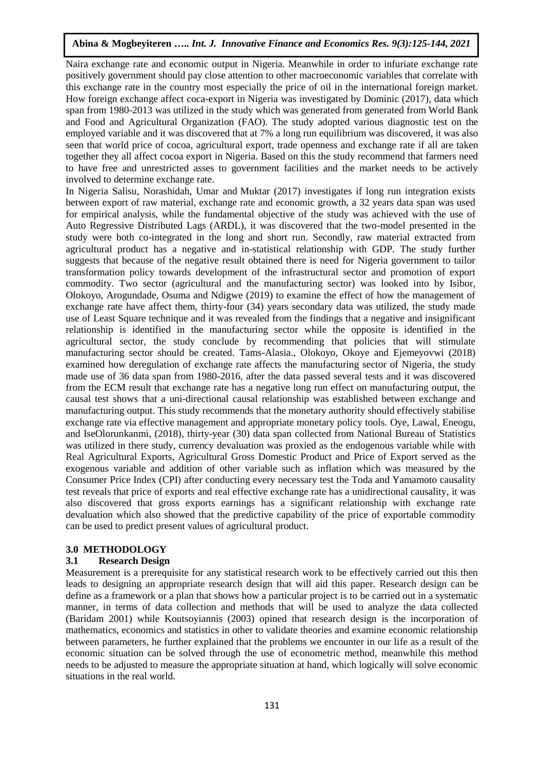Naira exchange rate and economic output in Nigeria. Meanwhile in order to infuriate exchange rate positively government should pay close attention to other macroeconomic variables that correlate with this exchange rate in the country most especially the price of oil in the international foreign market. How foreign exchange affect coca-export in Nigeria was investigated by Dominic (2017), data which span from 1980-2013 was utilized in the study which was generated from generated from World Bank and Food and Agricultural Organization (FAO). The study adopted various diagnostic test on the employed variable and it was discovered that at 7% a long run equilibrium was discovered, it was also seen that world price of cocoa, agricultural export, trade openness and exchange rate if all are taken together they all affect cocoa export in Nigeria. Based on this the study recommend that farmers need to have free and unrestricted asses to government facilities and the market needs to be actively involved to determine exchange rate.

In Nigeria Salisu, Norashidah, Umar and Muktar (2017) investigates if long run integration exists between export of raw material, exchange rate and economic growth, a 32 years data span was used for empirical analysis, while the fundamental objective of the study was achieved with the use of Auto Regressive Distributed Lags (ARDL), it was discovered that the two-model presented in the study were both co-integrated in the long and short run. Secondly, raw material extracted from agricultural product has a negative and in-statistical relationship with GDP. The study further suggests that because of the negative result obtained there is need for Nigeria government to tailor transformation policy towards development of the infrastructural sector and promotion of export commodity. Two sector (agricultural and the manufacturing sector) was looked into by Isibor, Olokoyo, Arogundade, Osuma and Ndigwe (2019) to examine the effect of how the management of exchange rate have affect them, thirty-four (34) years secondary data was utilized, the study made use of Least Square technique and it was revealed from the findings that a negative and insignificant relationship is identified in the manufacturing sector while the opposite is identified in the agricultural sector, the study conclude by recommending that policies that will stimulate manufacturing sector should be created. Tams-Alasia., Olokoyo, Okoye and Ejemeyovwi (2018) examined how deregulation of exchange rate affects the manufacturing sector of Nigeria, the study made use of 36 data span from 1980-2016, after the data passed several tests and it was discovered from the ECM result that exchange rate has a negative long run effect on manufacturing output, the causal test shows that a uni-directional causal relationship was established between exchange and manufacturing output. This study recommends that the monetary authority should effectively stabilise exchange rate via effective management and appropriate monetary policy tools. Oye, Lawal, Eneogu, and IseOlorunkanmi, (2018), thirty-year (30) data span collected from National Bureau of Statistics was utilized in there study, currency devaluation was proxied as the endogenous variable while with Real Agricultural Exports, Agricultural Gross Domestic Product and Price of Export served as the exogenous variable and addition of other variable such as inflation which was measured by the Consumer Price Index (CPI) after conducting every necessary test the Toda and Yamamoto causality test reveals that price of exports and real effective exchange rate has a unidirectional causality, it was also discovered that gross exports earnings has a significant relationship with exchange rate devaluation which also showed that the predictive capability of the price of exportable commodity can be used to predict present values of agricultural product.

# **3.0 METHODOLOGY**

# **3.1 Research Design**

Measurement is a prerequisite for any statistical research work to be effectively carried out this then leads to designing an appropriate research design that will aid this paper. Research design can be define as a framework or a plan that shows how a particular project is to be carried out in a systematic manner, in terms of data collection and methods that will be used to analyze the data collected (Baridam 2001) while Koutsoyiannis (2003) opined that research design is the incorporation of mathematics, economics and statistics in other to validate theories and examine economic relationship between parameters, he further explained that the problems we encounter in our life as a result of the economic situation can be solved through the use of econometric method, meanwhile this method needs to be adjusted to measure the appropriate situation at hand, which logically will solve economic situations in the real world.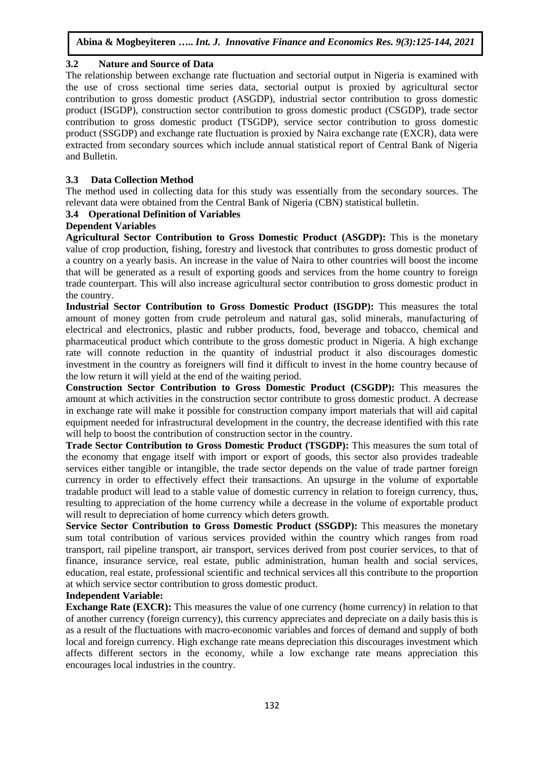# **3.2 Nature and Source of Data**

The relationship between exchange rate fluctuation and sectorial output in Nigeria is examined with the use of cross sectional time series data, sectorial output is proxied by agricultural sector contribution to gross domestic product (ASGDP), industrial sector contribution to gross domestic product (ISGDP), construction sector contribution to gross domestic product (CSGDP), trade sector contribution to gross domestic product (TSGDP), service sector contribution to gross domestic product (SSGDP) and exchange rate fluctuation is proxied by Naira exchange rate (EXCR), data were extracted from secondary sources which include annual statistical report of Central Bank of Nigeria and Bulletin.

# **3.3 Data Collection Method**

The method used in collecting data for this study was essentially from the secondary sources. The relevant data were obtained from the Central Bank of Nigeria (CBN) statistical bulletin.

# **3.4 Operational Definition of Variables**

# **Dependent Variables**

**Agricultural Sector Contribution to Gross Domestic Product (ASGDP):** This is the monetary value of crop production, fishing, forestry and livestock that contributes to gross domestic product of a country on a yearly basis. An increase in the value of Naira to other countries will boost the income that will be generated as a result of exporting goods and services from the home country to foreign trade counterpart. This will also increase agricultural sector contribution to gross domestic product in the country.

**Industrial Sector Contribution to Gross Domestic Product (ISGDP):** This measures the total amount of money gotten from crude petroleum and natural gas, solid minerals, manufacturing of electrical and electronics, plastic and rubber products, food, beverage and tobacco, chemical and pharmaceutical product which contribute to the gross domestic product in Nigeria. A high exchange rate will connote reduction in the quantity of industrial product it also discourages domestic investment in the country as foreigners will find it difficult to invest in the home country because of the low return it will yield at the end of the waiting period.

**Construction Sector Contribution to Gross Domestic Product (CSGDP):** This measures the amount at which activities in the construction sector contribute to gross domestic product. A decrease in exchange rate will make it possible for construction company import materials that will aid capital equipment needed for infrastructural development in the country, the decrease identified with this rate will help to boost the contribution of construction sector in the country.

**Trade Sector Contribution to Gross Domestic Product (TSGDP):** This measures the sum total of the economy that engage itself with import or export of goods, this sector also provides tradeable services either tangible or intangible, the trade sector depends on the value of trade partner foreign currency in order to effectively effect their transactions. An upsurge in the volume of exportable tradable product will lead to a stable value of domestic currency in relation to foreign currency, thus, resulting to appreciation of the home currency while a decrease in the volume of exportable product will result to depreciation of home currency which deters growth.

**Service Sector Contribution to Gross Domestic Product (SSGDP):** This measures the monetary sum total contribution of various services provided within the country which ranges from road transport, rail pipeline transport, air transport, services derived from post courier services, to that of finance, insurance service, real estate, public administration, human health and social services, education, real estate, professional scientific and technical services all this contribute to the proportion at which service sector contribution to gross domestic product.

# **Independent Variable:**

**Exchange Rate (EXCR):** This measures the value of one currency (home currency) in relation to that of another currency (foreign currency), this currency appreciates and depreciate on a daily basis this is as a result of the fluctuations with macro-economic variables and forces of demand and supply of both local and foreign currency. High exchange rate means depreciation this discourages investment which affects different sectors in the economy, while a low exchange rate means appreciation this encourages local industries in the country.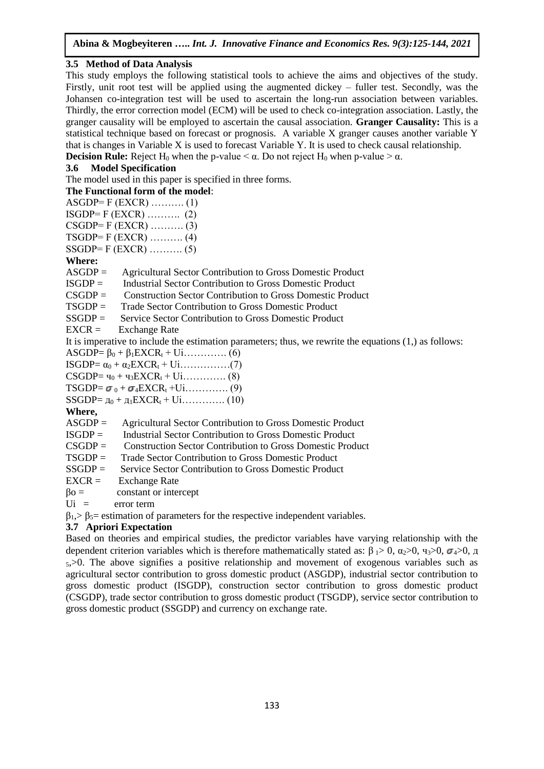# **3.5 Method of Data Analysis**

This study employs the following statistical tools to achieve the aims and objectives of the study. Firstly, unit root test will be applied using the augmented dickey – fuller test. Secondly, was the Johansen co-integration test will be used to ascertain the long-run association between variables. Thirdly, the error correction model (ECM) will be used to check co-integration association. Lastly, the granger causality will be employed to ascertain the causal association. **Granger Causality:** This is a statistical technique based on forecast or prognosis. A variable X granger causes another variable Y that is changes in Variable X is used to forecast Variable Y. It is used to check causal relationship. **Decision Rule:** Reject H<sub>0</sub> when the p-value  $\leq \alpha$ . Do not reject H<sub>0</sub> when p-value  $\geq \alpha$ .

# **3.6 Model Specification**

The model used in this paper is specified in three forms.

# **The Functional form of the model**:

| $ASGDP = F (EXCR) \dots (1)$ |  |
|------------------------------|--|
| $ISGDP = F (EXCR)$ (2)       |  |
| $CSGDP = F (EXCR) \dots (3)$ |  |
| $TSGDP = F (EXCR) \dots (4)$ |  |
| $SSGDP = F (EXCR) \dots (5)$ |  |

# **Where:**

ASGDP = Agricultural Sector Contribution to Gross Domestic Product

ISGDP = Industrial Sector Contribution to Gross Domestic Product

CSGDP = Construction Sector Contribution to Gross Domestic Product

TSGDP = Trade Sector Contribution to Gross Domestic Product

- SSGDP = Service Sector Contribution to Gross Domestic Product
- $EXCR =$  Exchange Rate

It is imperative to include the estimation parameters; thus, we rewrite the equations (1,) as follows:

ASGDP=  $\beta_0 + \beta_1 EXCR_t + U_1$ ………….. (6)

 $\text{ISGDP} = \alpha_0 + \alpha_2 \text{EXCR}_t + \text{Ui} \dots \dots \dots \dots (7)$ 

 $CSGDP = 40 + 43EXCR_1 + U_1$ ………….. (8)

TSGDP= <sup>0</sup> + <sup>4</sup>EXCR<sup>t</sup> +Ui…………. (9)

SSGDP= д<sup>0</sup> + д1EXCR<sup>t</sup> + Ui…………. (10)

**Where,**

ASGDP = Agricultural Sector Contribution to Gross Domestic Product

ISGDP = Industrial Sector Contribution to Gross Domestic Product

- CSGDP = Construction Sector Contribution to Gross Domestic Product
- TSGDP = Trade Sector Contribution to Gross Domestic Product
- SSGDP = Service Sector Contribution to Gross Domestic Product
- $EXCR =$  Exchange Rate
- $\beta$ o = constant or intercept
- Ui = error term

 $\beta_1$ ,  $\beta_5$  = estimation of parameters for the respective independent variables.

# **3.7 Apriori Expectation**

Based on theories and empirical studies, the predictor variables have varying relationship with the dependent criterion variables which is therefore mathematically stated as:  $β \rightarrow 0$ ,  $α_2 > 0$ ,  $q_3 > 0$ ,  $σ_4 > 0$ ,  $π$  $5, >0$ . The above signifies a positive relationship and movement of exogenous variables such as agricultural sector contribution to gross domestic product (ASGDP), industrial sector contribution to gross domestic product (ISGDP), construction sector contribution to gross domestic product (CSGDP), trade sector contribution to gross domestic product (TSGDP), service sector contribution to gross domestic product (SSGDP) and currency on exchange rate.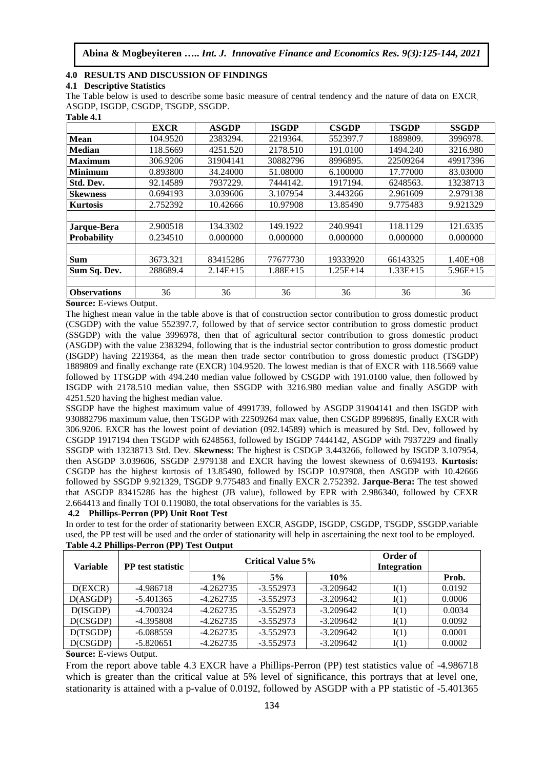### **4.0 RESULTS AND DISCUSSION OF FINDINGS**

#### **4.1 Descriptive Statistics**

The Table below is used to describe some basic measure of central tendency and the nature of data on EXCR, ASGDP, ISGDP, CSGDP, TSGDP, SSGDP. **Table 4.1** 

| тами т.г            |             |              |              |              |              |              |
|---------------------|-------------|--------------|--------------|--------------|--------------|--------------|
|                     | <b>EXCR</b> | <b>ASGDP</b> | <b>ISGDP</b> | <b>CSGDP</b> | <b>TSGDP</b> | <b>SSGDP</b> |
| <b>Mean</b>         | 104.9520    | 2383294.     | 2219364.     | 552397.7     | 1889809.     | 3996978.     |
| <b>Median</b>       | 118.5669    | 4251.520     | 2178.510     | 191.0100     | 1494.240     | 3216.980     |
| <b>Maximum</b>      | 306.9206    | 31904141     | 30882796     | 8996895.     | 22509264     | 49917396     |
| <b>Minimum</b>      | 0.893800    | 34.24000     | 51.08000     | 6.100000     | 17.77000     | 83.03000     |
| Std. Dev.           | 92.14589    | 7937229.     | 7444142.     | 1917194.     | 6248563.     | 13238713     |
| <b>Skewness</b>     | 0.694193    | 3.039606     | 3.107954     | 3.443266     | 2.961609     | 2.979138     |
| <b>Kurtosis</b>     | 2.752392    | 10.42666     | 10.97908     | 13.85490     | 9.775483     | 9.921329     |
|                     |             |              |              |              |              |              |
| Jarque-Bera         | 2.900518    | 134.3302     | 149.1922     | 240.9941     | 118.1129     | 121.6335     |
| <b>Probability</b>  | 0.234510    | 0.000000     | 0.000000     | 0.000000     | 0.000000     | 0.000000     |
|                     |             |              |              |              |              |              |
| <b>Sum</b>          | 3673.321    | 83415286     | 77677730     | 19333920     | 66143325     | $1.40E + 08$ |
| Sum Sq. Dev.        | 288689.4    | $2.14E+15$   | $1.88E+15$   | $1.25E+14$   | $1.33E+15$   | $5.96E+15$   |
|                     |             |              |              |              |              |              |
| <b>Observations</b> | 36          | 36           | 36           | 36           | 36           | 36           |

#### **Source:** E-views Output.

The highest mean value in the table above is that of construction sector contribution to gross domestic product (CSGDP) with the value 552397.7, followed by that of service sector contribution to gross domestic product (SSGDP) with the value 3996978, then that of agricultural sector contribution to gross domestic product (ASGDP) with the value 2383294, following that is the industrial sector contribution to gross domestic product (ISGDP) having 2219364, as the mean then trade sector contribution to gross domestic product (TSGDP) 1889809 and finally exchange rate (EXCR) 104.9520. The lowest median is that of EXCR with 118.5669 value followed by 1TSGDP with 494.240 median value followed by CSGDP with 191.0100 value, then followed by ISGDP with 2178.510 median value, then SSGDP with 3216.980 median value and finally ASGDP with 4251.520 having the highest median value.

SSGDP have the highest maximum value of 4991739, followed by ASGDP 31904141 and then ISGDP with 930882796 maximum value, then TSGDP with 22509264 max value, then CSGDP 8996895, finally EXCR with 306.9206. EXCR has the lowest point of deviation (092.14589) which is measured by Std. Dev, followed by CSGDP 1917194 then TSGDP with 6248563, followed by ISGDP 7444142, ASGDP with 7937229 and finally SSGDP with 13238713 Std. Dev. **Skewness:** The highest is CSDGP 3.443266, followed by ISGDP 3.107954, then ASGDP 3.039606, SSGDP 2.979138 and EXCR having the lowest skewness of 0.694193. **Kurtosis:**  CSGDP has the highest kurtosis of 13.85490, followed by ISGDP 10.97908, then ASGDP with 10.42666 followed by SSGDP 9.921329, TSGDP 9.775483 and finally EXCR 2.752392. **Jarque-Bera:** The test showed that ASGDP 83415286 has the highest (JB value), followed by EPR with 2.986340, followed by CEXR 2.664413 and finally TOI 0.119080, the total observations for the variables is 35.

# **4.2 Phillips-Perron (PP) Unit Root Test**

In order to test for the order of stationarity between EXCR, ASGDP, ISGDP, CSGDP, TSGDP, SSGDP.variable used, the PP test will be used and the order of stationarity will help in ascertaining the next tool to be employed.

| <b>Variable</b> | <b>PP</b> test statistic | <b>Critical Value 5%</b> |             |             | Order of<br><b>Integration</b> |        |
|-----------------|--------------------------|--------------------------|-------------|-------------|--------------------------------|--------|
|                 |                          | $1\%$                    | 5%          | 10%         |                                | Prob.  |
| D(EXCR)         | -4.986718                | $-4.262735$              | $-3.552973$ | $-3.209642$ | I(1)                           | 0.0192 |
| D(ASGDP)        | $-5.401365$              | $-4.262735$              | $-3.552973$ | $-3.209642$ | I(1)                           | 0.0006 |
| D(ISGDP)        | $-4.700324$              | $-4.262735$              | $-3.552973$ | $-3.209642$ | I(1)                           | 0.0034 |
| D(CSGDP)        | $-4.395808$              | $-4.262735$              | $-3.552973$ | $-3.209642$ | I(1)                           | 0.0092 |
| D(TSGDP)        | $-6.088559$              | $-4.262735$              | $-3.552973$ | $-3.209642$ | I(1)                           | 0.0001 |
| D(CSGDP)        | $-5.820651$              | $-4.262735$              | $-3.552973$ | $-3.209642$ | I(1)                           | 0.0002 |

#### **Table 4.2 Phillips-Perron (PP) Test Output**

**Source:** E-views Output.

From the report above table 4.3 EXCR have a Phillips-Perron (PP) test statistics value of -4.986718 which is greater than the critical value at 5% level of significance, this portrays that at level one, stationarity is attained with a p-value of 0.0192, followed by ASGDP with a PP statistic of -5.401365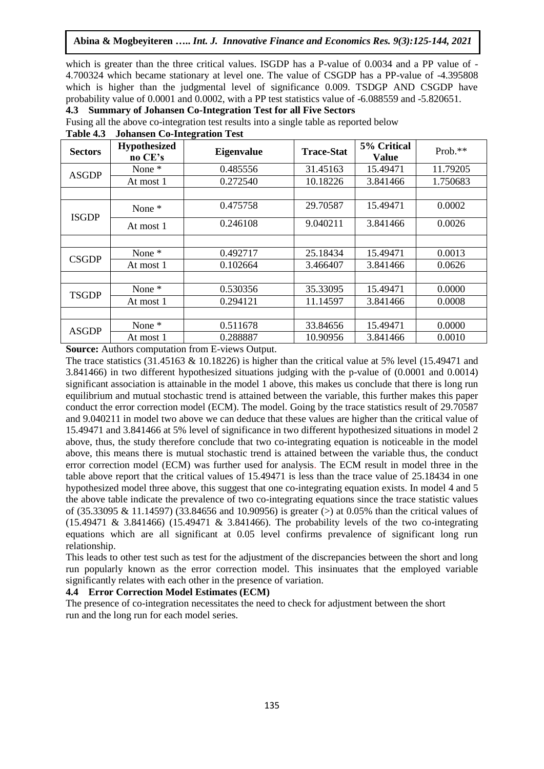which is greater than the three critical values. ISGDP has a P-value of  $0.0034$  and a PP value of  $-$ 4.700324 which became stationary at level one. The value of CSGDP has a PP-value of -4.395808 which is higher than the judgmental level of significance 0.009. TSDGP AND CSGDP have probability value of 0.0001 and 0.0002, with a PP test statistics value of -6.088559 and -5.820651.

**4.3 Summary of Johansen Co-Integration Test for all Five Sectors**

Fusing all the above co-integration test results into a single table as reported below

| <b>Sectors</b> | <b>Hypothesized</b><br>no CE's | <b>Eigenvalue</b> | <b>Trace-Stat</b> | 5% Critical<br><b>Value</b> | Prob.**  |
|----------------|--------------------------------|-------------------|-------------------|-----------------------------|----------|
| <b>ASGDP</b>   | None *                         | 0.485556          | 31.45163          | 15.49471                    | 11.79205 |
|                | At most 1                      | 0.272540          | 10.18226          | 3.841466                    | 1.750683 |
|                |                                |                   |                   |                             |          |
| <b>ISGDP</b>   | None *                         | 0.475758          | 29.70587          | 15.49471                    | 0.0002   |
|                | At most 1                      | 0.246108          | 9.040211          | 3.841466                    | 0.0026   |
|                |                                |                   |                   |                             |          |
|                | None *                         | 0.492717          | 25.18434          | 15.49471                    | 0.0013   |
| <b>CSGDP</b>   | At most 1                      | 0.102664          | 3.466407          | 3.841466                    | 0.0626   |
|                |                                |                   |                   |                             |          |
| <b>TSGDP</b>   | None *                         | 0.530356          | 35.33095          | 15.49471                    | 0.0000   |
|                | At most 1                      | 0.294121          | 11.14597          | 3.841466                    | 0.0008   |
|                |                                |                   |                   |                             |          |
| <b>ASGDP</b>   | None *                         | 0.511678          | 33.84656          | 15.49471                    | 0.0000   |
|                | At most 1                      | 0.288887          | 10.90956          | 3.841466                    | 0.0010   |

**Table 4.3 Johansen Co-Integration Test**

**Source:** Authors computation from E-views Output.

The trace statistics  $(31.45163 \& 10.18226)$  is higher than the critical value at 5% level  $(15.49471)$  and 3.841466) in two different hypothesized situations judging with the p-value of (0.0001 and 0.0014) significant association is attainable in the model 1 above, this makes us conclude that there is long run equilibrium and mutual stochastic trend is attained between the variable, this further makes this paper conduct the error correction model (ECM). The model. Going by the trace statistics result of 29.70587 and 9.040211 in model two above we can deduce that these values are higher than the critical value of 15.49471 and 3.841466 at 5% level of significance in two different hypothesized situations in model 2 above, thus, the study therefore conclude that two co-integrating equation is noticeable in the model above, this means there is mutual stochastic trend is attained between the variable thus, the conduct error correction model (ECM) was further used for analysis. The ECM result in model three in the table above report that the critical values of 15.49471 is less than the trace value of 25.18434 in one hypothesized model three above, this suggest that one co-integrating equation exists. In model 4 and 5 the above table indicate the prevalence of two co-integrating equations since the trace statistic values of (35.33095 & 11.14597) (33.84656 and 10.90956) is greater (>) at 0.05% than the critical values of (15.49471 & 3.841466) (15.49471 & 3.841466). The probability levels of the two co-integrating equations which are all significant at 0.05 level confirms prevalence of significant long run relationship.

This leads to other test such as test for the adjustment of the discrepancies between the short and long run popularly known as the error correction model. This insinuates that the employed variable significantly relates with each other in the presence of variation.

#### **4.4 Error Correction Model Estimates (ECM)**

The presence of co-integration necessitates the need to check for adjustment between the short run and the long run for each model series.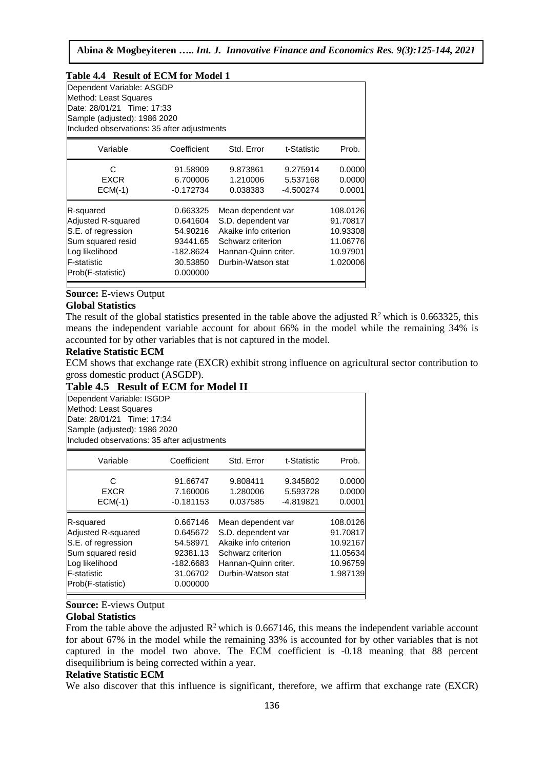| Table 4.4 Result of ECM for Model 1                                                                                                                             |                                                                                   |                                                                                                                                      |                                   |                                                                      |
|-----------------------------------------------------------------------------------------------------------------------------------------------------------------|-----------------------------------------------------------------------------------|--------------------------------------------------------------------------------------------------------------------------------------|-----------------------------------|----------------------------------------------------------------------|
| Dependent Variable: ASGDP<br>Method: Least Squares<br>Date: 28/01/21 Time: 17:33<br>Sample (adjusted): 1986 2020<br>Included observations: 35 after adjustments |                                                                                   |                                                                                                                                      |                                   |                                                                      |
| Variable                                                                                                                                                        | Coefficient                                                                       | Std. Error                                                                                                                           | t-Statistic                       | Prob.                                                                |
| C<br>EXCR<br>$ECM(-1)$                                                                                                                                          | 91.58909<br>6.700006<br>$-0.172734$                                               | 9.873861<br>1.210006<br>0.038383                                                                                                     | 9.275914<br>5.537168<br>-4.500274 | 0.0000<br>0.0000<br>0.0001                                           |
| R-squared<br>Adjusted R-squared<br>S.E. of regression<br>Sum squared resid<br>Log likelihood<br>lF-statistic<br>Prob(F-statistic)                               | 0.663325<br>0.641604<br>54.90216<br>93441.65<br>-182.8624<br>30.53850<br>0.000000 | Mean dependent var<br>S.D. dependent var<br>Akaike info criterion<br>Schwarz criterion<br>Hannan-Quinn criter.<br>Durbin-Watson stat |                                   | 108.0126<br>91.70817<br>10.93308<br>11.06776<br>10.97901<br>1.020006 |

**Source:** E-views Output

#### **Global Statistics**

The result of the global statistics presented in the table above the adjusted  $R^2$  which is 0.663325, this means the independent variable account for about 66% in the model while the remaining 34% is accounted for by other variables that is not captured in the model.

#### **Relative Statistic ECM**

ECM shows that exchange rate (EXCR) exhibit strong influence on agricultural sector contribution to gross domestic product (ASGDP).

# **Table 4.5 Result of ECM for Model II**

| Dependent Variable: ISGDP<br>Method: Least Squares<br>Date: 28/01/21 Time: 17:34<br>Sample (adjusted): 1986 2020<br>Included observations: 35 after adjustments |                                                                                   |                                                                                                                                      |                                   |                                                                      |
|-----------------------------------------------------------------------------------------------------------------------------------------------------------------|-----------------------------------------------------------------------------------|--------------------------------------------------------------------------------------------------------------------------------------|-----------------------------------|----------------------------------------------------------------------|
| Variable                                                                                                                                                        | Coefficient                                                                       | Std. Error                                                                                                                           | t-Statistic                       | Prob.                                                                |
| C<br>EXCR<br>$ECM(-1)$                                                                                                                                          | 91.66747<br>7.160006<br>$-0.181153$                                               | 9.808411<br>1.280006<br>0.037585                                                                                                     | 9.345802<br>5.593728<br>-4.819821 | 0.0000<br>0.0000<br>0.0001                                           |
| R-squared<br>Adjusted R-squared<br>S.E. of regression<br>Sum squared resid<br>Log likelihood<br><b>F-statistic</b><br>Prob(F-statistic)                         | 0.667146<br>0.645672<br>54.58971<br>92381.13<br>-182.6683<br>31.06702<br>0.000000 | Mean dependent var<br>S.D. dependent var<br>Akaike info criterion<br>Schwarz criterion<br>Hannan-Quinn criter.<br>Durbin-Watson stat |                                   | 108.0126<br>91.70817<br>10.92167<br>11.05634<br>10.96759<br>1.987139 |

#### **Source:** E-views Output

#### **Global Statistics**

From the table above the adjusted  $R^2$  which is 0.667146, this means the independent variable account for about 67% in the model while the remaining 33% is accounted for by other variables that is not captured in the model two above. The ECM coefficient is -0.18 meaning that 88 percent disequilibrium is being corrected within a year.

### **Relative Statistic ECM**

We also discover that this influence is significant, therefore, we affirm that exchange rate (EXCR)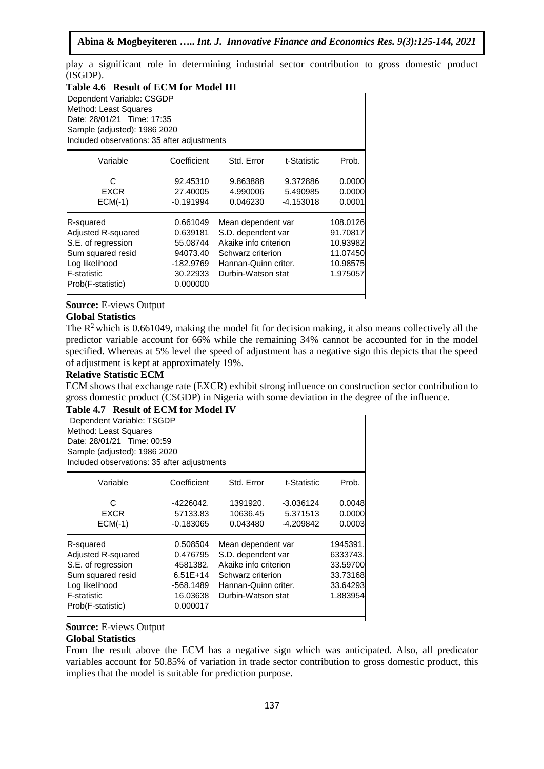play a significant role in determining industrial sector contribution to gross domestic product (ISGDP).

| Table 4.6 Result of ECM for Model III                                                                                                                           |                                                                                   |                                                                                                                                      |                                     |                                                                      |  |  |
|-----------------------------------------------------------------------------------------------------------------------------------------------------------------|-----------------------------------------------------------------------------------|--------------------------------------------------------------------------------------------------------------------------------------|-------------------------------------|----------------------------------------------------------------------|--|--|
| Dependent Variable: CSGDP<br>Method: Least Squares<br>Date: 28/01/21 Time: 17:35<br>Sample (adjusted): 1986 2020<br>Included observations: 35 after adjustments |                                                                                   |                                                                                                                                      |                                     |                                                                      |  |  |
| Variable                                                                                                                                                        | Coefficient                                                                       | Std. Error                                                                                                                           | t-Statistic                         | Prob.                                                                |  |  |
| C<br>EXCR<br>$ECM(-1)$                                                                                                                                          | 92.45310<br>27.40005<br>$-0.191994$                                               | 9.863888<br>4.990006<br>0.046230                                                                                                     | 9.372886<br>5.490985<br>$-4.153018$ | 0.0000<br>0.0000<br>0.0001                                           |  |  |
| R-squared<br>Adjusted R-squared<br>S.E. of regression<br>Sum squared resid<br>Log likelihood<br>lF-statistic<br>Prob(F-statistic)                               | 0.661049<br>0.639181<br>55.08744<br>94073.40<br>-182.9769<br>30.22933<br>0.000000 | Mean dependent var<br>S.D. dependent var<br>Akaike info criterion<br>Schwarz criterion<br>Hannan-Quinn criter.<br>Durbin-Watson stat |                                     | 108.0126<br>91.70817<br>10.93982<br>11.07450<br>10.98575<br>1.975057 |  |  |

# **Source:** E-views Output

# **Global Statistics**

The  $R<sup>2</sup>$  which is 0.661049, making the model fit for decision making, it also means collectively all the predictor variable account for 66% while the remaining 34% cannot be accounted for in the model specified. Whereas at 5% level the speed of adjustment has a negative sign this depicts that the speed of adjustment is kept at approximately 19%.

#### **Relative Statistic ECM**

ECM shows that exchange rate (EXCR) exhibit strong influence on construction sector contribution to gross domestic product (CSGDP) in Nigeria with some deviation in the degree of the influence.

# **Table 4.7 Result of ECM for Model IV**

| Dependent Variable: TSGDP                   |                            |                       |             |          |  |  |  |  |
|---------------------------------------------|----------------------------|-----------------------|-------------|----------|--|--|--|--|
| Method: Least Squares                       |                            |                       |             |          |  |  |  |  |
|                                             | Date: 28/01/21 Time: 00:59 |                       |             |          |  |  |  |  |
| Sample (adjusted): 1986 2020                |                            |                       |             |          |  |  |  |  |
| Included observations: 35 after adjustments |                            |                       |             |          |  |  |  |  |
| Variable                                    | Coefficient                | Std. Error            | t-Statistic | Prob.    |  |  |  |  |
| C                                           | -4226042.                  | 1391920.              | $-3.036124$ | 0.0048   |  |  |  |  |
| <b>EXCR</b>                                 | 57133.83                   | 10636.45              | 5.371513    | 0.0000   |  |  |  |  |
| $ECM(-1)$                                   | $-0.183065$                | 0.043480              | -4.209842   | 0.0003   |  |  |  |  |
| R-squared                                   | 0.508504                   | Mean dependent var    |             | 1945391. |  |  |  |  |
| Adjusted R-squared                          | 0.476795                   | S.D. dependent var    |             | 6333743. |  |  |  |  |
| S.E. of regression                          | 4581382.                   | Akaike info criterion |             | 33.59700 |  |  |  |  |
| Sum squared resid                           | $6.51E+14$                 | Schwarz criterion     |             | 33.73168 |  |  |  |  |
| Log likelihood                              | -568.1489                  | Hannan-Quinn criter.  |             | 33.64293 |  |  |  |  |
| <b>F-statistic</b>                          | 16.03638                   | Durbin-Watson stat    |             | 1.883954 |  |  |  |  |
| Prob(F-statistic)                           | 0.000017                   |                       |             |          |  |  |  |  |

### **Source:** E-views Output

### **Global Statistics**

From the result above the ECM has a negative sign which was anticipated. Also, all predicator variables account for 50.85% of variation in trade sector contribution to gross domestic product, this implies that the model is suitable for prediction purpose.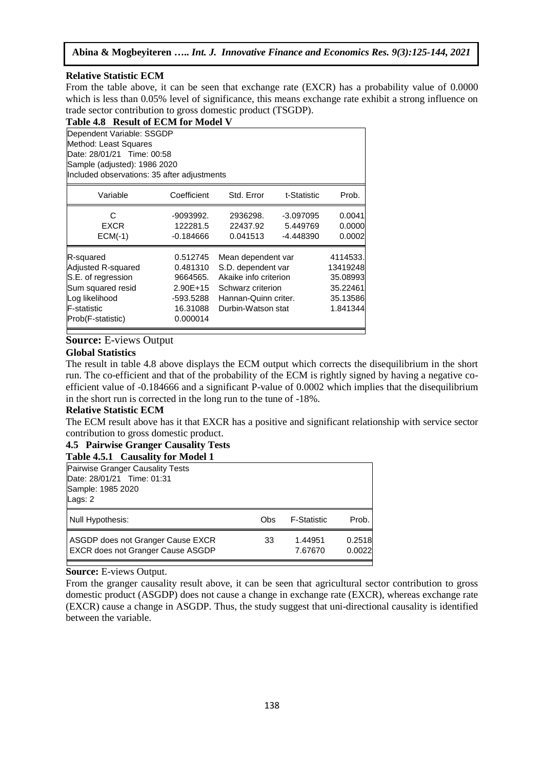# **Relative Statistic ECM**

From the table above, it can be seen that exchange rate (EXCR) has a probability value of 0.0000 which is less than 0.05% level of significance, this means exchange rate exhibit a strong influence on trade sector contribution to gross domestic product (TSGDP).

| Table 4.8 Result of ECM for Model V                                                                                                                             |                                                                                     |                                                                                                                                      |                                      |                                                                      |  |  |
|-----------------------------------------------------------------------------------------------------------------------------------------------------------------|-------------------------------------------------------------------------------------|--------------------------------------------------------------------------------------------------------------------------------------|--------------------------------------|----------------------------------------------------------------------|--|--|
| Dependent Variable: SSGDP<br>Method: Least Squares<br>Date: 28/01/21 Time: 00:58<br>Sample (adjusted): 1986 2020<br>Included observations: 35 after adjustments |                                                                                     |                                                                                                                                      |                                      |                                                                      |  |  |
| Variable                                                                                                                                                        | Coefficient                                                                         | Std. Error                                                                                                                           | t-Statistic                          | Prob.                                                                |  |  |
| C<br><b>EXCR</b><br>$ECM(-1)$                                                                                                                                   | -9093992.<br>122281.5<br>$-0.184666$                                                | 2936298.<br>22437.92<br>0.041513                                                                                                     | $-3.097095$<br>5.449769<br>-4.448390 | 0.0041<br>0.0000<br>0.0002                                           |  |  |
| R-squared<br>Adjusted R-squared<br>S.E. of regression<br>Sum squared resid<br>Log likelihood<br>F-statistic<br>Prob(F-statistic)                                | 0.512745<br>0.481310<br>9664565.<br>$2.90E+15$<br>-593.5288<br>16.31088<br>0.000014 | Mean dependent var<br>S.D. dependent var<br>Akaike info criterion<br>Schwarz criterion<br>Hannan-Quinn criter.<br>Durbin-Watson stat |                                      | 4114533.<br>13419248<br>35.08993<br>35.22461<br>35.13586<br>1.841344 |  |  |

# **Source:** E-views Output

### **Global Statistics**

The result in table 4.8 above displays the ECM output which corrects the disequilibrium in the short run. The co-efficient and that of the probability of the ECM is rightly signed by having a negative coefficient value of -0.184666 and a significant P-value of 0.0002 which implies that the disequilibrium in the short run is corrected in the long run to the tune of -18%.

#### **Relative Statistic ECM**

The ECM result above has it that EXCR has a positive and significant relationship with service sector contribution to gross domestic product.

# **4.5 Pairwise Granger Causality Tests**

| Table 4.5.1 Causality for Model 1                      |
|--------------------------------------------------------|
| $D$ stands of $D$ and a sea $D$ sees of the $T$ such a |

| <b>Pairwise Granger Causality Tests</b><br>Date: 28/01/21 Time: 01:31<br>Sample: 1985 2020<br>Lags: $2$ |     |                    |                  |
|---------------------------------------------------------------------------------------------------------|-----|--------------------|------------------|
| Null Hypothesis:                                                                                        | Obs | <b>F-Statistic</b> | Prob.            |
| ASGDP does not Granger Cause EXCR<br><b>EXCR does not Granger Cause ASGDP</b>                           | 33  | 1.44951<br>7.67670 | 0.2518<br>0.0022 |

**Source:** E-views Output.

From the granger causality result above, it can be seen that agricultural sector contribution to gross domestic product (ASGDP) does not cause a change in exchange rate (EXCR), whereas exchange rate (EXCR) cause a change in ASGDP. Thus, the study suggest that uni-directional causality is identified between the variable.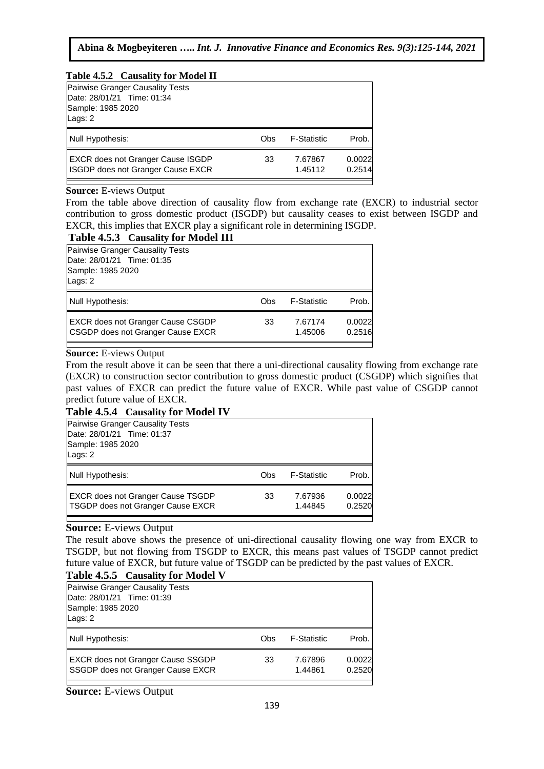### **Table 4.5.2 Causality for Model II**

| Pairwise Granger Causality Tests<br>Date: 28/01/21 Time: 01:34<br>Sample: 1985 2020<br>Lags: $2$ |     |                    |                  |
|--------------------------------------------------------------------------------------------------|-----|--------------------|------------------|
| Null Hypothesis:                                                                                 | Obs | <b>F-Statistic</b> | Prob.            |
| <b>EXCR does not Granger Cause ISGDP</b><br><b>ISGDP</b> does not Granger Cause EXCR             | 33  | 7.67867<br>1.45112 | 0.0022<br>0.2514 |

### **Source:** E-views Output

From the table above direction of causality flow from exchange rate (EXCR) to industrial sector contribution to gross domestic product (ISGDP) but causality ceases to exist between ISGDP and EXCR, this implies that EXCR play a significant role in determining ISGDP.

# **Table 4.5.3 Causality for Model III**

|                                         | TWOTE HERE CHADWILLY TOT HEOGEN THE                                           |     |                    |                  |  |
|-----------------------------------------|-------------------------------------------------------------------------------|-----|--------------------|------------------|--|
| <b>Pairwise Granger Causality Tests</b> |                                                                               |     |                    |                  |  |
| Date: 28/01/21 Time: 01:35              |                                                                               |     |                    |                  |  |
| Sample: 1985 2020                       |                                                                               |     |                    |                  |  |
| Lags: $2$                               |                                                                               |     |                    |                  |  |
| Null Hypothesis:                        |                                                                               | Obs | <b>F-Statistic</b> | Prob.            |  |
|                                         | <b>EXCR does not Granger Cause CSGDP</b><br>CSGDP does not Granger Cause EXCR | 33  | 7.67174<br>1.45006 | 0.0022<br>0.2516 |  |
|                                         |                                                                               |     |                    |                  |  |

# **Source:** E-views Output

From the result above it can be seen that there a uni-directional causality flowing from exchange rate (EXCR) to construction sector contribution to gross domestic product (CSGDP) which signifies that past values of EXCR can predict the future value of EXCR. While past value of CSGDP cannot predict future value of EXCR.

# **Table 4.5.4 Causality for Model IV**

| <b>Pairwise Granger Causality Tests</b><br>Date: 28/01/21 Time: 01:37<br>Sample: 1985 2020<br>Lags: 2 |     |                    |                  |
|-------------------------------------------------------------------------------------------------------|-----|--------------------|------------------|
| Null Hypothesis:                                                                                      | Obs | <b>F-Statistic</b> | Prob.            |
| <b>EXCR does not Granger Cause TSGDP</b><br>TSGDP does not Granger Cause EXCR                         | 33  | 7.67936<br>1.44845 | 0.0022<br>0.2520 |

# **Source:** E-views Output

The result above shows the presence of uni-directional causality flowing one way from EXCR to TSGDP, but not flowing from TSGDP to EXCR, this means past values of TSGDP cannot predict future value of EXCR, but future value of TSGDP can be predicted by the past values of EXCR.

# **Table 4.5.5 Causality for Model V**

| Pairwise Granger Causality Tests<br>Date: 28/01/21 Time: 01:39<br>Sample: 1985 2020<br>Lags: $2$ |     |                    |                  |
|--------------------------------------------------------------------------------------------------|-----|--------------------|------------------|
| Null Hypothesis:                                                                                 | Obs | <b>F-Statistic</b> | Prob.            |
| <b>EXCR does not Granger Cause SSGDP</b><br>SSGDP does not Granger Cause EXCR                    | 33  | 7.67896<br>1.44861 | 0.0022<br>0.2520 |
|                                                                                                  |     |                    |                  |

**Source:** E-views Output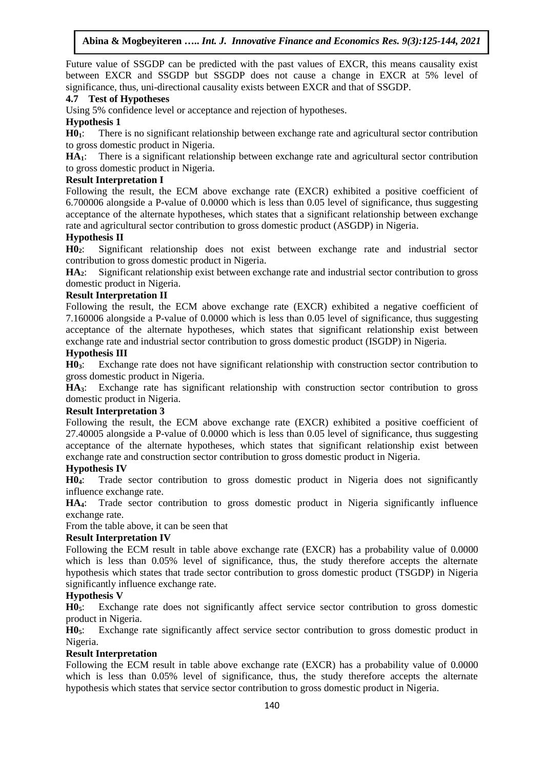Future value of SSGDP can be predicted with the past values of EXCR, this means causality exist between EXCR and SSGDP but SSGDP does not cause a change in EXCR at 5% level of significance, thus, uni-directional causality exists between EXCR and that of SSGDP.

# **4.7 Test of Hypotheses**

Using 5% confidence level or acceptance and rejection of hypotheses.

# **Hypothesis 1**

**H01**: There is no significant relationship between exchange rate and agricultural sector contribution to gross domestic product in Nigeria.

**HA1**: There is a significant relationship between exchange rate and agricultural sector contribution to gross domestic product in Nigeria.

### **Result Interpretation I**

Following the result, the ECM above exchange rate (EXCR) exhibited a positive coefficient of 6.700006 alongside a P-value of 0.0000 which is less than 0.05 level of significance, thus suggesting acceptance of the alternate hypotheses, which states that a significant relationship between exchange rate and agricultural sector contribution to gross domestic product (ASGDP) in Nigeria.

# **Hypothesis II**

**H02**: Significant relationship does not exist between exchange rate and industrial sector contribution to gross domestic product in Nigeria.

**HA2**: Significant relationship exist between exchange rate and industrial sector contribution to gross domestic product in Nigeria.

### **Result Interpretation II**

Following the result, the ECM above exchange rate (EXCR) exhibited a negative coefficient of 7.160006 alongside a P-value of 0.0000 which is less than 0.05 level of significance, thus suggesting acceptance of the alternate hypotheses, which states that significant relationship exist between exchange rate and industrial sector contribution to gross domestic product (ISGDP) in Nigeria.

### **Hypothesis III**

**H03**: Exchange rate does not have significant relationship with construction sector contribution to gross domestic product in Nigeria.

**HA3**: Exchange rate has significant relationship with construction sector contribution to gross domestic product in Nigeria.

#### **Result Interpretation 3**

Following the result, the ECM above exchange rate (EXCR) exhibited a positive coefficient of 27.40005 alongside a P-value of 0.0000 which is less than 0.05 level of significance, thus suggesting acceptance of the alternate hypotheses, which states that significant relationship exist between exchange rate and construction sector contribution to gross domestic product in Nigeria.

#### **Hypothesis IV**

**H04**: Trade sector contribution to gross domestic product in Nigeria does not significantly influence exchange rate.

**HA4**: Trade sector contribution to gross domestic product in Nigeria significantly influence exchange rate.

From the table above, it can be seen that

### **Result Interpretation IV**

Following the ECM result in table above exchange rate (EXCR) has a probability value of 0.0000 which is less than 0.05% level of significance, thus, the study therefore accepts the alternate hypothesis which states that trade sector contribution to gross domestic product (TSGDP) in Nigeria significantly influence exchange rate.

# **Hypothesis V**

**H05**: Exchange rate does not significantly affect service sector contribution to gross domestic product in Nigeria.

**H05**: Exchange rate significantly affect service sector contribution to gross domestic product in Nigeria.

### **Result Interpretation**

Following the ECM result in table above exchange rate (EXCR) has a probability value of 0.0000 which is less than 0.05% level of significance, thus, the study therefore accepts the alternate hypothesis which states that service sector contribution to gross domestic product in Nigeria.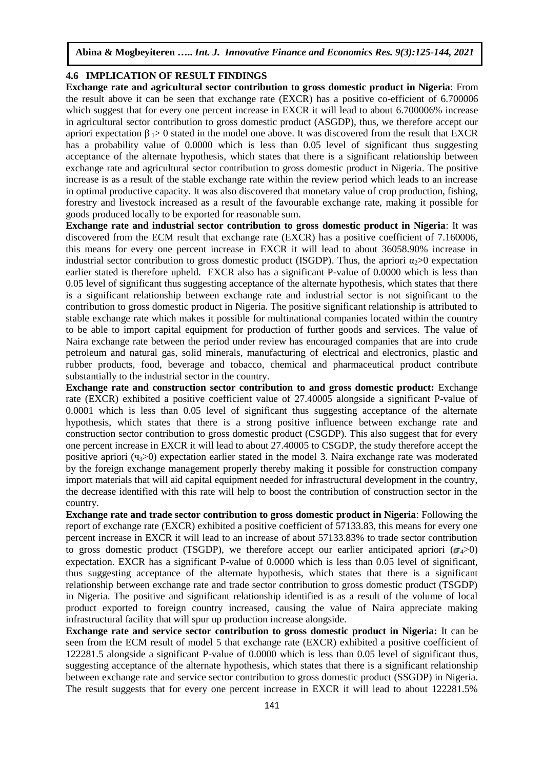### **4.6 IMPLICATION OF RESULT FINDINGS**

**Exchange rate and agricultural sector contribution to gross domestic product in Nigeria**: From the result above it can be seen that exchange rate (EXCR) has a positive co-efficient of 6.700006 which suggest that for every one percent increase in EXCR it will lead to about 6.700006% increase in agricultural sector contribution to gross domestic product (ASGDP), thus, we therefore accept our apriori expectation  $β_1 > 0$  stated in the model one above. It was discovered from the result that EXCR has a probability value of 0.0000 which is less than 0.05 level of significant thus suggesting acceptance of the alternate hypothesis, which states that there is a significant relationship between exchange rate and agricultural sector contribution to gross domestic product in Nigeria. The positive increase is as a result of the stable exchange rate within the review period which leads to an increase in optimal productive capacity. It was also discovered that monetary value of crop production, fishing, forestry and livestock increased as a result of the favourable exchange rate, making it possible for goods produced locally to be exported for reasonable sum.

**Exchange rate and industrial sector contribution to gross domestic product in Nigeria**: It was discovered from the ECM result that exchange rate (EXCR) has a positive coefficient of 7.160006, this means for every one percent increase in EXCR it will lead to about 36058.90% increase in industrial sector contribution to gross domestic product (ISGDP). Thus, the apriori  $\alpha_2>0$  expectation earlier stated is therefore upheld. EXCR also has a significant P-value of 0.0000 which is less than 0.05 level of significant thus suggesting acceptance of the alternate hypothesis, which states that there is a significant relationship between exchange rate and industrial sector is not significant to the contribution to gross domestic product in Nigeria. The positive significant relationship is attributed to stable exchange rate which makes it possible for multinational companies located within the country to be able to import capital equipment for production of further goods and services. The value of Naira exchange rate between the period under review has encouraged companies that are into crude petroleum and natural gas, solid minerals, manufacturing of electrical and electronics, plastic and rubber products, food, beverage and tobacco, chemical and pharmaceutical product contribute substantially to the industrial sector in the country.

**Exchange rate and construction sector contribution to and gross domestic product:** Exchange rate (EXCR) exhibited a positive coefficient value of 27.40005 alongside a significant P-value of 0.0001 which is less than 0.05 level of significant thus suggesting acceptance of the alternate hypothesis, which states that there is a strong positive influence between exchange rate and construction sector contribution to gross domestic product (CSGDP). This also suggest that for every one percent increase in EXCR it will lead to about 27.40005 to CSGDP, the study therefore accept the positive apriori ( $\mathfrak{q}_3$ >0) expectation earlier stated in the model 3. Naira exchange rate was moderated by the foreign exchange management properly thereby making it possible for construction company import materials that will aid capital equipment needed for infrastructural development in the country, the decrease identified with this rate will help to boost the contribution of construction sector in the country.

**Exchange rate and trade sector contribution to gross domestic product in Nigeria**: Following the report of exchange rate (EXCR) exhibited a positive coefficient of 57133.83, this means for every one percent increase in EXCR it will lead to an increase of about 57133.83% to trade sector contribution to gross domestic product (TSGDP), we therefore accept our earlier anticipated apriori ( $\sigma_4$ >0) expectation. EXCR has a significant P-value of 0.0000 which is less than 0.05 level of significant, thus suggesting acceptance of the alternate hypothesis, which states that there is a significant relationship between exchange rate and trade sector contribution to gross domestic product (TSGDP) in Nigeria. The positive and significant relationship identified is as a result of the volume of local product exported to foreign country increased, causing the value of Naira appreciate making infrastructural facility that will spur up production increase alongside.

**Exchange rate and service sector contribution to gross domestic product in Nigeria:** It can be seen from the ECM result of model 5 that exchange rate (EXCR) exhibited a positive coefficient of 122281.5 alongside a significant P-value of 0.0000 which is less than 0.05 level of significant thus, suggesting acceptance of the alternate hypothesis, which states that there is a significant relationship between exchange rate and service sector contribution to gross domestic product (SSGDP) in Nigeria. The result suggests that for every one percent increase in EXCR it will lead to about 122281.5%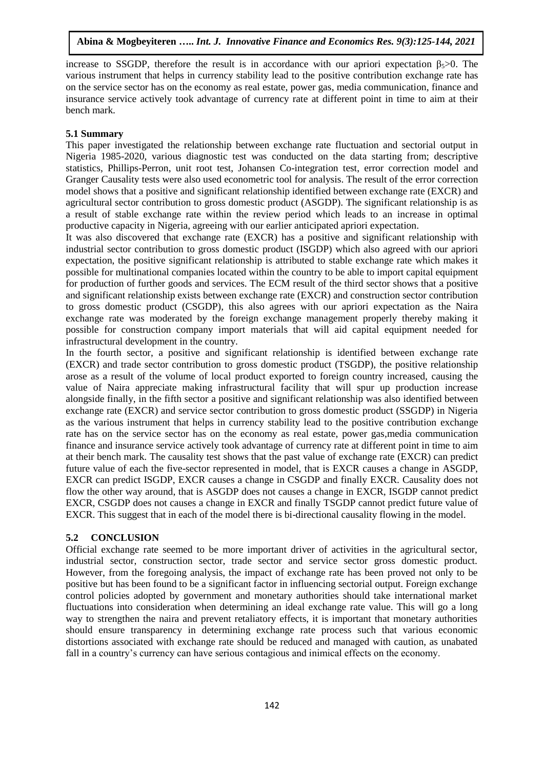increase to SSGDP, therefore the result is in accordance with our apriori expectation  $\beta_{5} > 0$ . The various instrument that helps in currency stability lead to the positive contribution exchange rate has on the service sector has on the economy as real estate, power gas, media communication, finance and insurance service actively took advantage of currency rate at different point in time to aim at their bench mark.

# **5.1 Summary**

This paper investigated the relationship between exchange rate fluctuation and sectorial output in Nigeria 1985-2020, various diagnostic test was conducted on the data starting from; descriptive statistics, Phillips-Perron, unit root test, Johansen Co-integration test, error correction model and Granger Causality tests were also used econometric tool for analysis. The result of the error correction model shows that a positive and significant relationship identified between exchange rate (EXCR) and agricultural sector contribution to gross domestic product (ASGDP). The significant relationship is as a result of stable exchange rate within the review period which leads to an increase in optimal productive capacity in Nigeria, agreeing with our earlier anticipated apriori expectation.

It was also discovered that exchange rate (EXCR) has a positive and significant relationship with industrial sector contribution to gross domestic product (ISGDP) which also agreed with our apriori expectation, the positive significant relationship is attributed to stable exchange rate which makes it possible for multinational companies located within the country to be able to import capital equipment for production of further goods and services. The ECM result of the third sector shows that a positive and significant relationship exists between exchange rate (EXCR) and construction sector contribution to gross domestic product (CSGDP), this also agrees with our apriori expectation as the Naira exchange rate was moderated by the foreign exchange management properly thereby making it possible for construction company import materials that will aid capital equipment needed for infrastructural development in the country.

In the fourth sector, a positive and significant relationship is identified between exchange rate (EXCR) and trade sector contribution to gross domestic product (TSGDP), the positive relationship arose as a result of the volume of local product exported to foreign country increased, causing the value of Naira appreciate making infrastructural facility that will spur up production increase alongside finally, in the fifth sector a positive and significant relationship was also identified between exchange rate (EXCR) and service sector contribution to gross domestic product (SSGDP) in Nigeria as the various instrument that helps in currency stability lead to the positive contribution exchange rate has on the service sector has on the economy as real estate, power gas,media communication finance and insurance service actively took advantage of currency rate at different point in time to aim at their bench mark. The causality test shows that the past value of exchange rate (EXCR) can predict future value of each the five-sector represented in model, that is EXCR causes a change in ASGDP, EXCR can predict ISGDP, EXCR causes a change in CSGDP and finally EXCR. Causality does not flow the other way around, that is ASGDP does not causes a change in EXCR, ISGDP cannot predict EXCR, CSGDP does not causes a change in EXCR and finally TSGDP cannot predict future value of EXCR. This suggest that in each of the model there is bi-directional causality flowing in the model.

# **5.2 CONCLUSION**

Official exchange rate seemed to be more important driver of activities in the agricultural sector, industrial sector, construction sector, trade sector and service sector gross domestic product. However, from the foregoing analysis, the impact of exchange rate has been proved not only to be positive but has been found to be a significant factor in influencing sectorial output. Foreign exchange control policies adopted by government and monetary authorities should take international market fluctuations into consideration when determining an ideal exchange rate value. This will go a long way to strengthen the naira and prevent retaliatory effects, it is important that monetary authorities should ensure transparency in determining exchange rate process such that various economic distortions associated with exchange rate should be reduced and managed with caution, as unabated fall in a country's currency can have serious contagious and inimical effects on the economy.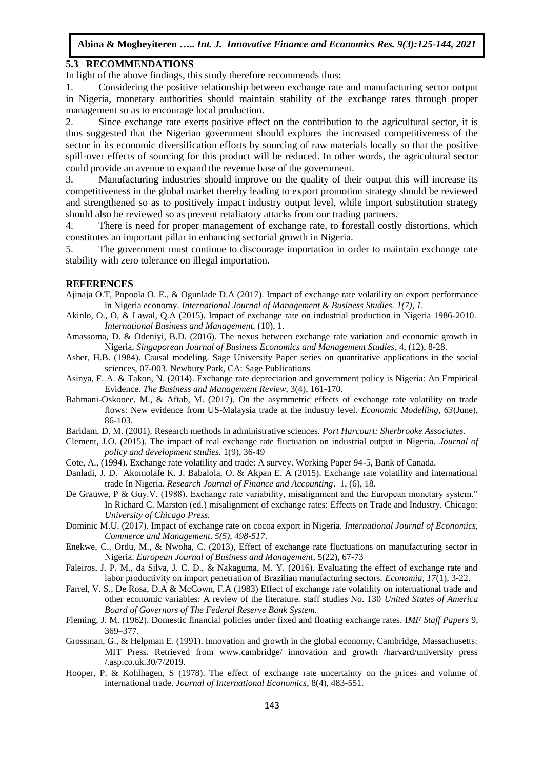### **5.3 RECOMMENDATIONS**

In light of the above findings, this study therefore recommends thus:

1. Considering the positive relationship between exchange rate and manufacturing sector output in Nigeria, monetary authorities should maintain stability of the exchange rates through proper management so as to encourage local production.

2. Since exchange rate exerts positive effect on the contribution to the agricultural sector, it is thus suggested that the Nigerian government should explores the increased competitiveness of the sector in its economic diversification efforts by sourcing of raw materials locally so that the positive spill-over effects of sourcing for this product will be reduced. In other words, the agricultural sector could provide an avenue to expand the revenue base of the government.

3. Manufacturing industries should improve on the quality of their output this will increase its competitiveness in the global market thereby leading to export promotion strategy should be reviewed and strengthened so as to positively impact industry output level, while import substitution strategy should also be reviewed so as prevent retaliatory attacks from our trading partners.

4. There is need for proper management of exchange rate, to forestall costly distortions, which constitutes an important pillar in enhancing sectorial growth in Nigeria.

5. The government must continue to discourage importation in order to maintain exchange rate stability with zero tolerance on illegal importation.

#### **REFERENCES**

- Ajinaja O.T, Popoola O. E., & Ogunlade D.A (2017). Impact of exchange rate volatility on export performance in Nigeria economy. *International Journal of Management & Business Studies. 1(7), 1.*
- Akinlo, O., O, & Lawal, Q.A (2015). Impact of exchange rate on industrial production in Nigeria 1986-2010. *International Business and Management.* (10), 1.
- Amassoma, D. & Odeniyi, B.D. (2016). The nexus between exchange rate variation and economic growth in Nigeria, *Singaporean Journal of Business Economics and Management Studies*, 4, (12), 8-28.
- Asher, H.B. (1984). Causal modeling. Sage University Paper series on quantitative applications in the social sciences, 07-003. Newbury Park, CA: Sage Publications
- Asinya, F. A. & Takon, N. (2014). Exchange rate depreciation and government policy is Nigeria: An Empirical Evidence. *The Business and Management Review*, 3(4), 161-170.
- Bahmani-Oskooee, M., & Aftab, M. (2017). On the asymmetric effects of exchange rate volatility on trade flows: New evidence from US-Malaysia trade at the industry level. *Economic Modelling, 63*(June), 86-103.
- Baridam, D. M. (2001). Research methods in administrative sciences*. Port Harcourt: Sherbrooke Associates.*
- Clement, J.O. (2015). The impact of real exchange rate fluctuation on industrial output in Nigeria. *Journal of policy and development studies.* 1(9), 36-49
- Cote, A., (1994). Exchange rate volatility and trade: A survey. Working Paper 94-5, Bank of Canada.
- Danladi, J. D. Akomolafe K. J. Babalola, O. & Akpan E. A (2015). Exchange rate volatility and international trade In Nigeria. *Research Journal of Finance and Accounting*. 1, (6), 18.
- De Grauwe, P & Guy.V, (1988). Exchange rate variability, misalignment and the European monetary system." In Richard C. Marston (ed.) misalignment of exchange rates: Effects on Trade and Industry. Chicago: *University of Chicago Press.*
- Dominic M.U. (2017). Impact of exchange rate on cocoa export in Nigeria. *International Journal of Economics, Commerce and Management. 5(5), 498-517.*
- Enekwe, C., Ordu, M., & Nwoha, C. (2013), Effect of exchange rate fluctuations on manufacturing sector in Nigeria. *European Journal of Business and Management*, 5(22), 67-73
- Faleiros, J. P. M., da Silva, J. C. D., & Nakaguma, M. Y. (2016). Evaluating the effect of exchange rate and labor productivity on import penetration of Brazilian manufacturing sectors. *Economia, 17*(1), 3-22.
- Farrel, V. S., De Rosa, D.A & McCown, F.A (1983) Effect of exchange rate volatility on international trade and other economic variables: A review of the literature. staff studies No. 130 *United States of America Board of Governors of The Federal Reserve Bank System.*
- Fleming, J. M. (1962). Domestic financial policies under fixed and floating exchange rates. I*MF Staff Papers* 9, 369–377.
- Grossman, G., & Helpman E. (1991). Innovation and growth in the global economy, Cambridge, Massachusetts: MIT Press. Retrieved from www.cambridge/ innovation and growth /harvard/university press /.asp.co.uk.30/7/2019.
- Hooper, P. & Kohlhagen, S (1978). The effect of exchange rate uncertainty on the prices and volume of international trade. *Journal of International Economics*, 8(4), 483-551.